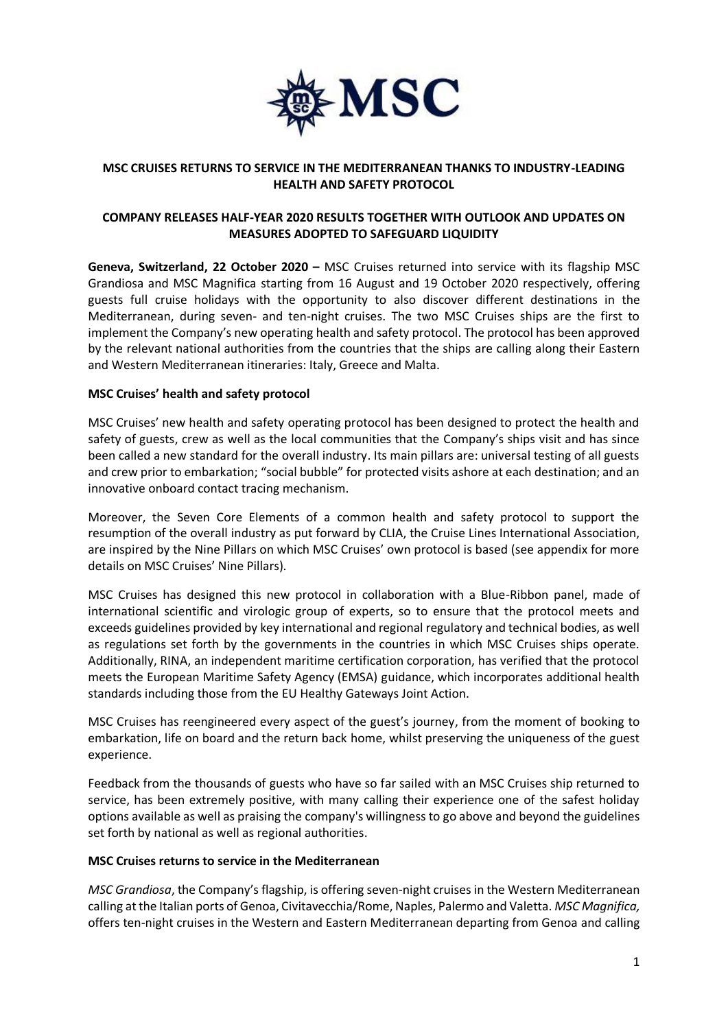

# **MSC CRUISES RETURNS TO SERVICE IN THE MEDITERRANEAN THANKS TO INDUSTRY-LEADING HEALTH AND SAFETY PROTOCOL**

# **COMPANY RELEASES HALF-YEAR 2020 RESULTS TOGETHER WITH OUTLOOK AND UPDATES ON MEASURES ADOPTED TO SAFEGUARD LIQUIDITY**

**Geneva, Switzerland, 22 October 2020 –** MSC Cruises returned into service with its flagship MSC Grandiosa and MSC Magnifica starting from 16 August and 19 October 2020 respectively, offering guests full cruise holidays with the opportunity to also discover different destinations in the Mediterranean, during seven- and ten-night cruises. The two MSC Cruises ships are the first to implement the Company's new operating health and safety protocol. The protocol has been approved by the relevant national authorities from the countries that the ships are calling along their Eastern and Western Mediterranean itineraries: Italy, Greece and Malta.

# **MSC Cruises' health and safety protocol**

MSC Cruises' new health and safety operating protocol has been designed to protect the health and safety of guests, crew as well as the local communities that the Company's ships visit and has since been called a new standard for the overall industry. Its main pillars are: universal testing of all guests and crew prior to embarkation; "social bubble" for protected visits ashore at each destination; and an innovative onboard contact tracing mechanism.

Moreover, the Seven Core Elements of a common health and safety protocol to support the resumption of the overall industry as put forward by CLIA, the Cruise Lines International Association, are inspired by the Nine Pillars on which MSC Cruises' own protocol is based (see appendix for more details on MSC Cruises' Nine Pillars).

MSC Cruises has designed this new protocol in collaboration with a Blue-Ribbon panel, made of international scientific and virologic group of experts, so to ensure that the protocol meets and exceeds guidelines provided by key international and regional regulatory and technical bodies, as well as regulations set forth by the governments in the countries in which MSC Cruises ships operate. Additionally, RINA, an independent maritime certification corporation, has verified that the protocol meets the European Maritime Safety Agency (EMSA) guidance, which incorporates additional health standards including those from the EU Healthy Gateways Joint Action.

MSC Cruises has reengineered every aspect of the guest's journey, from the moment of booking to embarkation, life on board and the return back home, whilst preserving the uniqueness of the guest experience.

Feedback from the thousands of guests who have so far sailed with an MSC Cruises ship returned to service, has been extremely positive, with many calling their experience one of the safest holiday options available as well as praising the company's willingness to go above and beyond the guidelines set forth by national as well as regional authorities.

## **MSC Cruises returns to service in the Mediterranean**

*MSC Grandiosa*, the Company's flagship, is offering seven-night cruises in the Western Mediterranean calling at the Italian ports of Genoa, Civitavecchia/Rome, Naples, Palermo and Valetta. *MSC Magnifica,*  offers ten-night cruises in the Western and Eastern Mediterranean departing from Genoa and calling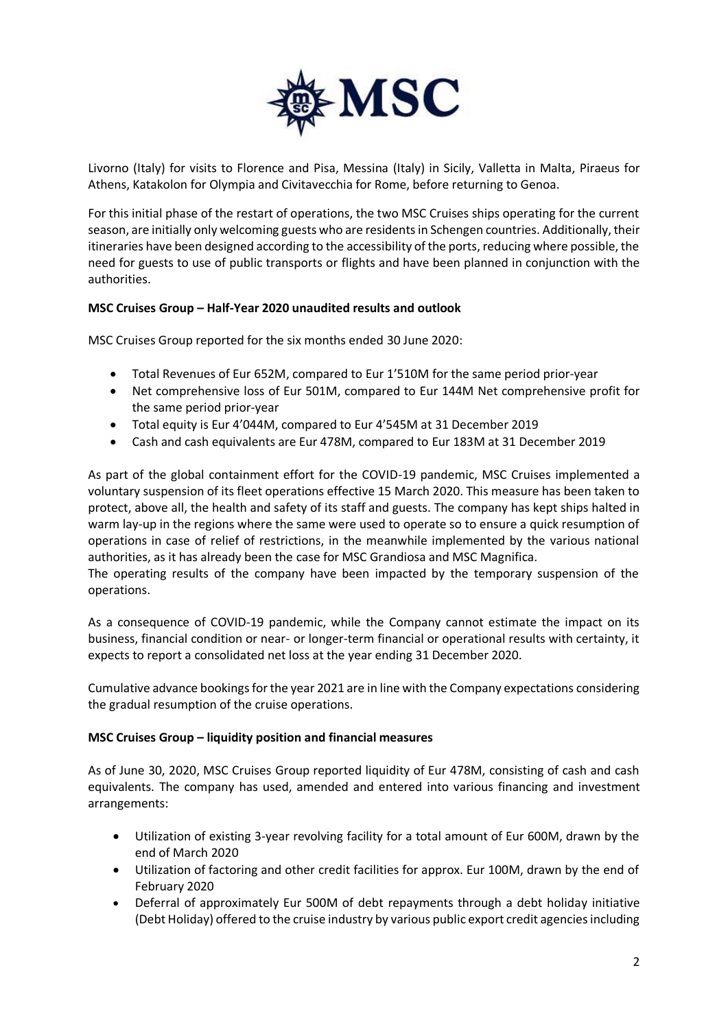

Livorno (Italy) for visits to Florence and Pisa, Messina (Italy) in Sicily, Valletta in Malta, Piraeus for Athens, Katakolon for Olympia and Civitavecchia for Rome, before returning to Genoa.

For this initial phase of the restart of operations, the two MSC Cruises ships operating for the current season, are initially only welcoming guests who are residents in Schengen countries. Additionally, their itineraries have been designed according to the accessibility of the ports, reducing where possible, the need for guests to use of public transports or flights and have been planned in conjunction with the authorities.

# **MSC Cruises Group – Half-Year 2020 unaudited results and outlook**

MSC Cruises Group reported for the six months ended 30 June 2020:

- Total Revenues of Eur 652M, compared to Eur 1'510M for the same period prior-year
- Net comprehensive loss of Eur 501M, compared to Eur 144M Net comprehensive profit for the same period prior-year
- Total equity is Eur 4'044M, compared to Eur 4'545M at 31 December 2019
- Cash and cash equivalents are Eur 478M, compared to Eur 183M at 31 December 2019

As part of the global containment effort for the COVID-19 pandemic, MSC Cruises implemented a voluntary suspension of its fleet operations effective 15 March 2020. This measure has been taken to protect, above all, the health and safety of its staff and guests. The company has kept ships halted in warm lay-up in the regions where the same were used to operate so to ensure a quick resumption of operations in case of relief of restrictions, in the meanwhile implemented by the various national authorities, as it has already been the case for MSC Grandiosa and MSC Magnifica.

The operating results of the company have been impacted by the temporary suspension of the operations.

As a consequence of COVID-19 pandemic, while the Company cannot estimate the impact on its business, financial condition or near- or longer-term financial or operational results with certainty, it expects to report a consolidated net loss at the year ending 31 December 2020.

Cumulative advance bookings for the year 2021 are in line with the Company expectations considering the gradual resumption of the cruise operations.

## **MSC Cruises Group – liquidity position and financial measures**

As of June 30, 2020, MSC Cruises Group reported liquidity of Eur 478M, consisting of cash and cash equivalents. The company has used, amended and entered into various financing and investment arrangements:

- Utilization of existing 3-year revolving facility for a total amount of Eur 600M, drawn by the end of March 2020
- Utilization of factoring and other credit facilities for approx. Eur 100M, drawn by the end of February 2020
- Deferral of approximately Eur 500M of debt repayments through a debt holiday initiative (Debt Holiday) offered to the cruise industry by various public export credit agencies including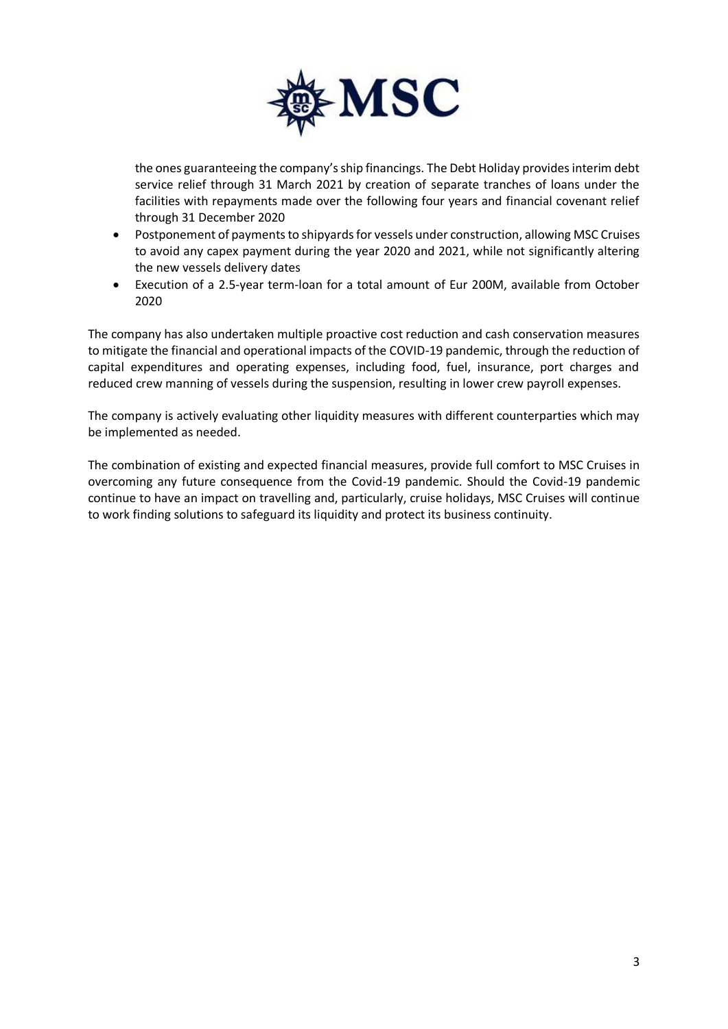

the ones guaranteeing the company's ship financings. The Debt Holiday provides interim debt service relief through 31 March 2021 by creation of separate tranches of loans under the facilities with repayments made over the following four years and financial covenant relief through 31 December 2020

- Postponement of payments to shipyards for vessels under construction, allowing MSC Cruises to avoid any capex payment during the year 2020 and 2021, while not significantly altering the new vessels delivery dates
- Execution of a 2.5-year term-loan for a total amount of Eur 200M, available from October 2020

The company has also undertaken multiple proactive cost reduction and cash conservation measures to mitigate the financial and operational impacts of the COVID-19 pandemic, through the reduction of capital expenditures and operating expenses, including food, fuel, insurance, port charges and reduced crew manning of vessels during the suspension, resulting in lower crew payroll expenses.

The company is actively evaluating other liquidity measures with different counterparties which may be implemented as needed.

The combination of existing and expected financial measures, provide full comfort to MSC Cruises in overcoming any future consequence from the Covid-19 pandemic. Should the Covid-19 pandemic continue to have an impact on travelling and, particularly, cruise holidays, MSC Cruises will continue to work finding solutions to safeguard its liquidity and protect its business continuity.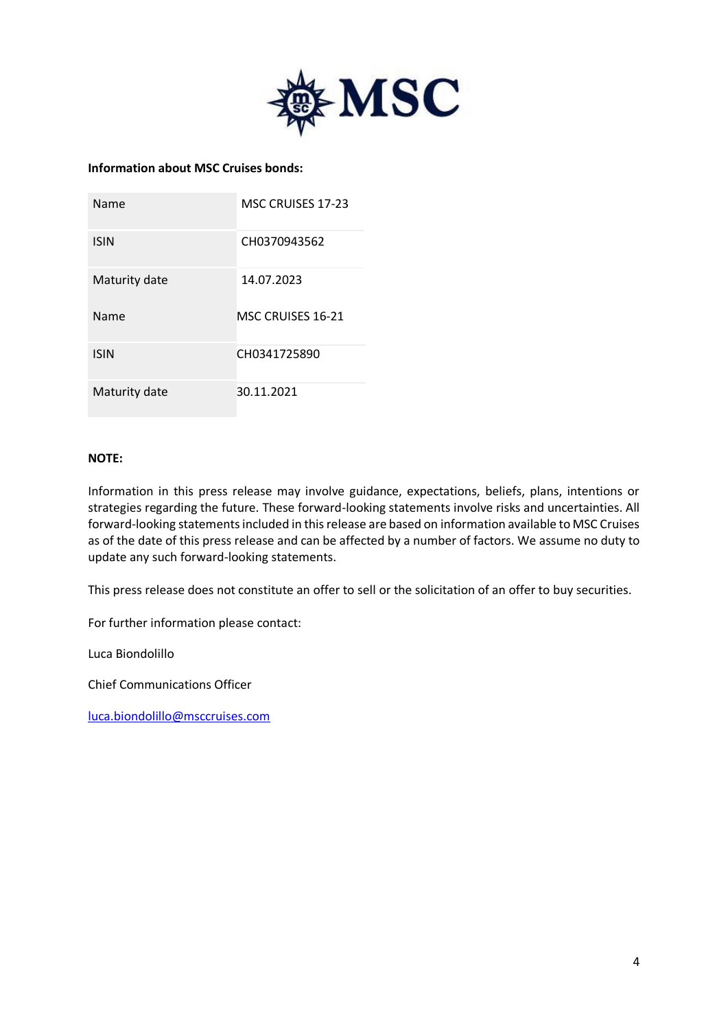

# **Information about MSC Cruises bonds:**

| Name          | <b>MSC CRUISES 17-23</b> |
|---------------|--------------------------|
| <b>ISIN</b>   | CH0370943562             |
| Maturity date | 14.07.2023               |
| Name          | MSC CRUISES 16-21        |
|               |                          |
| <b>ISIN</b>   | CH0341725890             |

#### **NOTE:**

Information in this press release may involve guidance, expectations, beliefs, plans, intentions or strategies regarding the future. These forward-looking statements involve risks and uncertainties. All forward-looking statements included in this release are based on information available to MSC Cruises as of the date of this press release and can be affected by a number of factors. We assume no duty to update any such forward-looking statements.

This press release does not constitute an offer to sell or the solicitation of an offer to buy securities.

For further information please contact:

Luca Biondolillo

Chief Communications Officer

[luca.biondolillo@msccruises.com](mailto:luca.biondolillo@msccruises.com)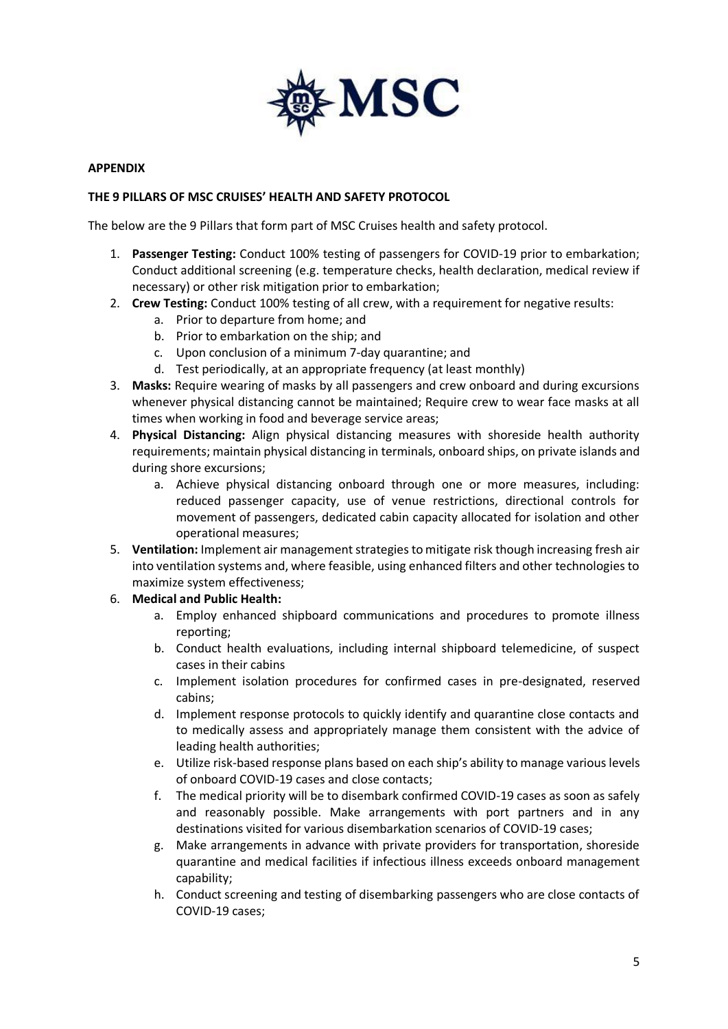

## **APPENDIX**

## **THE 9 PILLARS OF MSC CRUISES' HEALTH AND SAFETY PROTOCOL**

The below are the 9 Pillars that form part of MSC Cruises health and safety protocol.

- 1. **Passenger Testing:** Conduct 100% testing of passengers for COVID-19 prior to embarkation; Conduct additional screening (e.g. temperature checks, health declaration, medical review if necessary) or other risk mitigation prior to embarkation;
- 2. **Crew Testing:** Conduct 100% testing of all crew, with a requirement for negative results:
	- a. Prior to departure from home; and
	- b. Prior to embarkation on the ship; and
	- c. Upon conclusion of a minimum 7-day quarantine; and
	- d. Test periodically, at an appropriate frequency (at least monthly)
- 3. **Masks:** Require wearing of masks by all passengers and crew onboard and during excursions whenever physical distancing cannot be maintained; Require crew to wear face masks at all times when working in food and beverage service areas;
- 4. **Physical Distancing:** Align physical distancing measures with shoreside health authority requirements; maintain physical distancing in terminals, onboard ships, on private islands and during shore excursions;
	- a. Achieve physical distancing onboard through one or more measures, including: reduced passenger capacity, use of venue restrictions, directional controls for movement of passengers, dedicated cabin capacity allocated for isolation and other operational measures;
- 5. **Ventilation:** Implement air management strategies to mitigate risk though increasing fresh air into ventilation systems and, where feasible, using enhanced filters and other technologies to maximize system effectiveness;

## 6. **Medical and Public Health:**

- a. Employ enhanced shipboard communications and procedures to promote illness reporting;
- b. Conduct health evaluations, including internal shipboard telemedicine, of suspect cases in their cabins
- c. Implement isolation procedures for confirmed cases in pre-designated, reserved cabins;
- d. Implement response protocols to quickly identify and quarantine close contacts and to medically assess and appropriately manage them consistent with the advice of leading health authorities;
- e. Utilize risk-based response plans based on each ship's ability to manage various levels of onboard COVID-19 cases and close contacts;
- f. The medical priority will be to disembark confirmed COVID-19 cases as soon as safely and reasonably possible. Make arrangements with port partners and in any destinations visited for various disembarkation scenarios of COVID-19 cases;
- g. Make arrangements in advance with private providers for transportation, shoreside quarantine and medical facilities if infectious illness exceeds onboard management capability;
- h. Conduct screening and testing of disembarking passengers who are close contacts of COVID-19 cases;